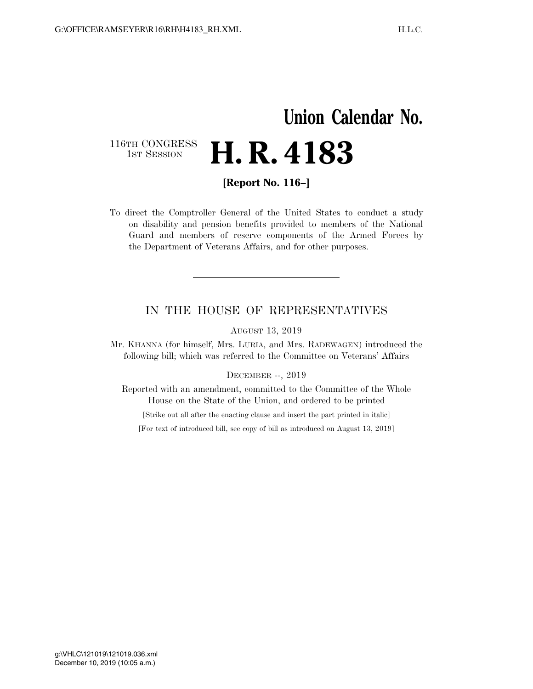## **Union Calendar No.**  116TH CONGRESS<br>1st Session **H. R. 4183**

**[Report No. 116–]** 

To direct the Comptroller General of the United States to conduct a study on disability and pension benefits provided to members of the National Guard and members of reserve components of the Armed Forces by the Department of Veterans Affairs, and for other purposes.

## IN THE HOUSE OF REPRESENTATIVES

AUGUST 13, 2019

Mr. KHANNA (for himself, Mrs. LURIA, and Mrs. RADEWAGEN) introduced the following bill; which was referred to the Committee on Veterans' Affairs

## DECEMBER --, 2019

Reported with an amendment, committed to the Committee of the Whole House on the State of the Union, and ordered to be printed

[Strike out all after the enacting clause and insert the part printed in italic]

[For text of introduced bill, see copy of bill as introduced on August 13, 2019]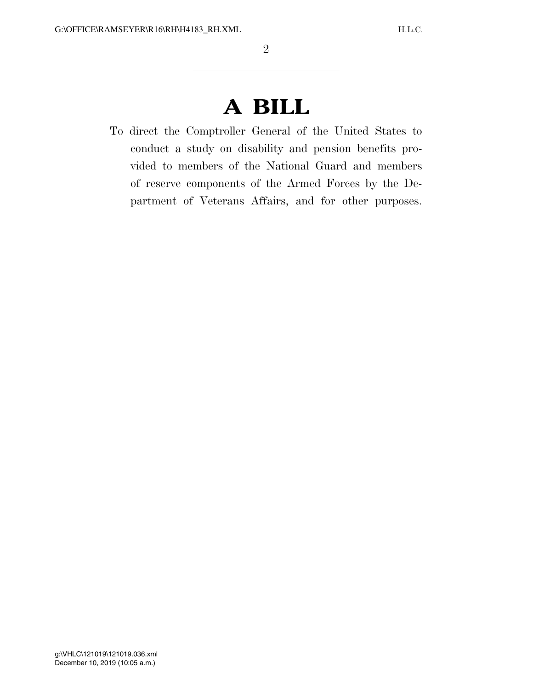## **A BILL**

To direct the Comptroller General of the United States to conduct a study on disability and pension benefits provided to members of the National Guard and members of reserve components of the Armed Forces by the Department of Veterans Affairs, and for other purposes.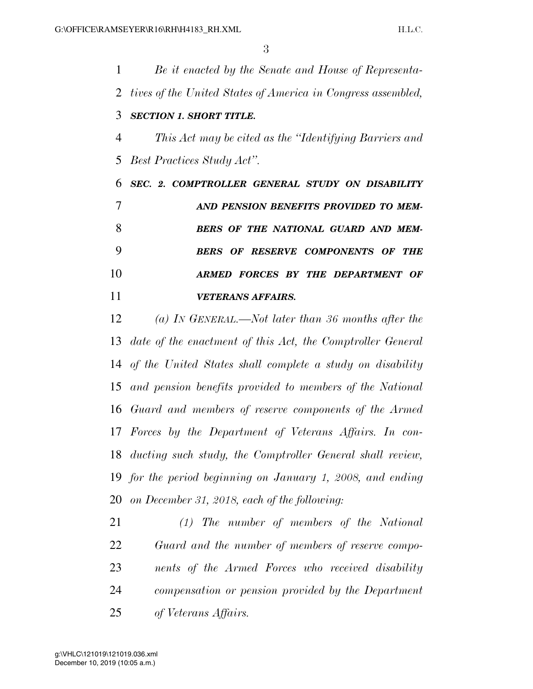*Be it enacted by the Senate and House of Representa- tives of the United States of America in Congress assembled, SECTION 1. SHORT TITLE. This Act may be cited as the ''Identifying Barriers and Best Practices Study Act''. SEC. 2. COMPTROLLER GENERAL STUDY ON DISABILITY AND PENSION BENEFITS PROVIDED TO MEM- BERS OF THE NATIONAL GUARD AND MEM- BERS OF RESERVE COMPONENTS OF THE ARMED FORCES BY THE DEPARTMENT OF VETERANS AFFAIRS. (a) IN GENERAL.—Not later than 36 months after the date of the enactment of this Act, the Comptroller General* 

 *of the United States shall complete a study on disability and pension benefits provided to members of the National Guard and members of reserve components of the Armed Forces by the Department of Veterans Affairs. In con- ducting such study, the Comptroller General shall review, for the period beginning on January 1, 2008, and ending on December 31, 2018, each of the following:* 

 *(1) The number of members of the National Guard and the number of members of reserve compo- nents of the Armed Forces who received disability compensation or pension provided by the Department of Veterans Affairs.*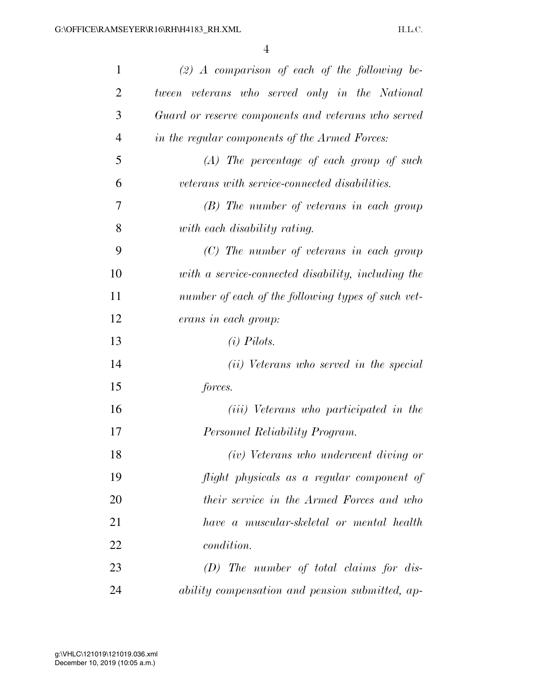| $\mathbf{1}$   | $(2)$ A comparison of each of the following be-     |
|----------------|-----------------------------------------------------|
| $\overline{2}$ | tween veterans who served only in the National      |
| 3              | Guard or reserve components and veterans who served |
| $\overline{4}$ | in the regular components of the Armed Forces:      |
| 5              | $(A)$ The percentage of each group of such          |
| 6              | veterans with service-connected disabilities.       |
| 7              | (B) The number of veterans in each group            |
| 8              | with each disability rating.                        |
| 9              | $(C)$ The number of veterans in each group          |
| 10             | with a service-connected disability, including the  |
| 11             | number of each of the following types of such vet-  |
| 12             | erans in each group:                                |
| 13             | $(i)$ Pilots.                                       |
| 14             | (ii) Veterans who served in the special             |
| 15             | forces.                                             |
| 16             | ( <i>iii</i> ) Veterans who participated in the     |
| 17             | Personnel Reliability Program.                      |
| 18             | (iv) Veterans who underwent diving or               |
| 19             | flight physicals as a regular component of          |
| 20             | their service in the Armed Forces and who           |
| 21             | have a muscular-skeletal or mental health           |
| 22             | <i>condition.</i>                                   |
| 23             | $(D)$ The number of total claims for dis-           |
| 24             | ability compensation and pension submitted, ap-     |